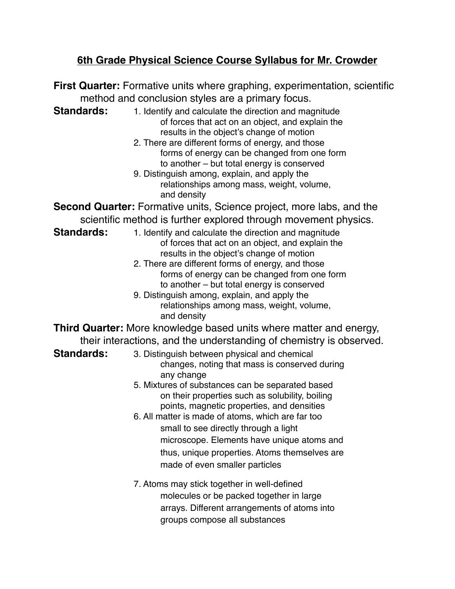## **6th Grade Physical Science Course Syllabus for Mr. Crowder**

**First Quarter:** Formative units where graphing, experimentation, scientific method and conclusion styles are a primary focus. **Standards:** 1. Identify and calculate the direction and magnitude of forces that act on an object, and explain the results in the object's change of motion 2. There are different forms of energy, and those forms of energy can be changed from one form to another – but total energy is conserved 9. Distinguish among, explain, and apply the relationships among mass, weight, volume, and density **Second Quarter:** Formative units, Science project, more labs, and the scientific method is further explored through movement physics. **Standards:** 1. Identify and calculate the direction and magnitude of forces that act on an object, and explain the results in the object's change of motion 2. There are different forms of energy, and those forms of energy can be changed from one form to another – but total energy is conserved 9. Distinguish among, explain, and apply the relationships among mass, weight, volume, and density **Third Quarter:** More knowledge based units where matter and energy, their interactions, and the understanding of chemistry is observed. **Standards:** 3. Distinguish between physical and chemical changes, noting that mass is conserved during any change 5. Mixtures of substances can be separated based on their properties such as solubility, boiling points, magnetic properties, and densities ! ! 6. All matter is made of atoms, which are far too small to see directly through a light microscope. Elements have unique atoms and thus, unique properties. Atoms themselves are made of even smaller particles 7. Atoms may stick together in well-defined molecules or be packed together in large arrays. Different arrangements of atoms into

groups compose all substances